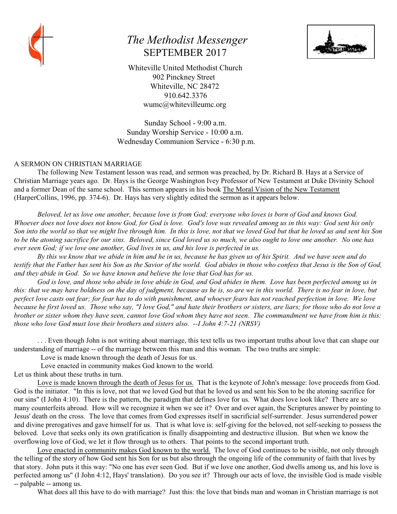

# *The Methodist Messenger* SEPTEMBER 2017



 Whiteville United Methodist Church 902 Pinckney Street Whiteville, NC 28472 910.642.3376 wumc@whitevilleumc.org

 Sunday School - 9:00 a.m. Sunday Worship Service - 10:00 a.m. Wednesday Communion Service - 6:30 p.m.

# A SERMON ON CHRISTIAN MARRIAGE

The following New Testament lesson was read, and sermon was preached, by Dr. Richard B. Hays at a Service of Christian Marriage years ago. Dr. Hays is the George Washington Ivey Professor of New Testament at Duke Divinity School and a former Dean of the same school. This sermon appears in his book The Moral Vision of the New Testament (HarperCollins, 1996, pp. 374-6). Dr. Hays has very slightly edited the sermon as it appears below.

*Beloved, let us love one another, because love is from God; everyone who loves is born of God and knows God. Whoever does not love does not know God, for God is love. God's love was revealed among us in this way: God sent his only Son into the world so that we might live through him. In this is love, not that we loved God but that he loved us and sent his Son to be the atoning sacrifice for our sins. Beloved, since God loved us so much, we also ought to love one another. No one has ever seen God; if we love one another, God lives in us, and his love is perfected in us.*

*By this we know that we abide in him and he in us, because he has given us of his Spirit. And we have seen and do testify that the Father has sent his Son as the Savior of the world. God abides in those who confess that Jesus is the Son of God, and they abide in God. So we have known and believe the love that God has for us.*

*God is love, and those who abide in love abide in God, and God abides in them. Love has been perfected among us in this: that we may have boldness on the day of judgment, because as he is, so are we in this world. There is no fear in love, but perfect love casts out fear; for fear has to do with punishment, and whoever fears has not reached perfection in love. We love because he first loved us. Those who say, "I love God," and hate their brothers or sisters, are liars; for those who do not love a brother or sister whom they have seen, cannot love God whom they have not seen. The commandment we have from him is this: those who love God must love their brothers and sisters also. --I John 4:7-21 (NRSV)*

. . . Even though John is not writing about marriage, this text tells us two important truths about love that can shape our understanding of marriage -- of the marriage between this man and this woman. The two truths are simple:

Love is made known through the death of Jesus for us.

Love enacted in community makes God known to the world.

Let us think about these truths in turn.

Love is made known through the death of Jesus for us. That is the keynote of John's message: love proceeds from God. God is the initiator. "In this is love, not that we loved God but that he loved us and sent his Son to be the atoning sacrifice for our sins" (I John 4:10). There is the pattern, the paradigm that defines love for us. What does love look like? There are so many counterfeits abroad. How will we recognize it when we see it? Over and over again, the Scriptures answer by pointing to Jesus' death on the cross. The love that comes from God expresses itself in sacrificial self-surrender. Jesus surrendered power and divine prerogatives and gave himself for us. That is what love is: self-giving for the beloved, not self-seeking to possess the beloved. Love that seeks only its own gratification is finally disappointing and destructive illusion. But when we know the overflowing love of God, we let it flow through us to others. That points to the second important truth.

Love enacted in community makes God known to the world. The love of God continues to be visible, not only through the telling of the story of how God sent his Son for us but also through the ongoing life of the community of faith that lives by that story. John puts it this way: "No one has ever seen God. But if we love one another, God dwells among us, and his love is perfected among us" (I John 4:12, Hays' translation). Do you see it? Through our acts of love, the invisible God is made visible -- palpable -- among us.

What does all this have to do with marriage? Just this: the love that binds man and woman in Christian marriage is not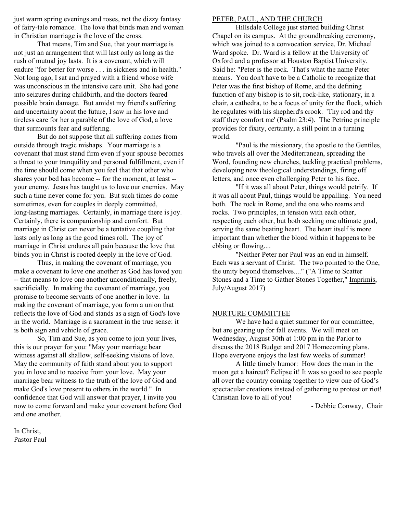just warm spring evenings and roses, not the dizzy fantasy of fairy-tale romance. The love that binds man and woman in Christian marriage is the love of the cross.

That means, Tim and Sue, that your marriage is not just an arrangement that will last only as long as the rush of mutual joy lasts. It is a covenant, which will endure "for better for worse . . . in sickness and in health." Not long ago, I sat and prayed with a friend whose wife was unconscious in the intensive care unit. She had gone into seizures during childbirth, and the doctors feared possible brain damage. But amidst my friend's suffering and uncertainty about the future, I saw in his love and tireless care for her a parable of the love of God, a love that surmounts fear and suffering.

But do not suppose that all suffering comes from outside through tragic mishaps. Your marriage is a covenant that must stand firm even if your spouse becomes a threat to your tranquility and personal fulfillment, even if the time should come when you feel that that other who shares your bed has become -- for the moment, at least - your enemy. Jesus has taught us to love our enemies. May such a time never come for you. But such times do come sometimes, even for couples in deeply committed, long-lasting marriages. Certainly, in marriage there is joy. Certainly, there is companionship and comfort. But marriage in Christ can never be a tentative coupling that lasts only as long as the good times roll. The joy of marriage in Christ endures all pain because the love that binds you in Christ is rooted deeply in the love of God.

Thus, in making the covenant of marriage, you make a covenant to love one another as God has loved you -- that means to love one another unconditionally, freely, sacrificially. In making the covenant of marriage, you promise to become servants of one another in love. In making the covenant of marriage, you form a union that reflects the love of God and stands as a sign of God's love in the world. Marriage is a sacrament in the true sense: it is both sign and vehicle of grace.

So, Tim and Sue, as you come to join your lives, this is our prayer for you: "May your marriage bear witness against all shallow, self-seeking visions of love. May the community of faith stand about you to support you in love and to receive from your love. May your marriage bear witness to the truth of the love of God and make God's love present to others in the world." In confidence that God will answer that prayer, I invite you now to come forward and make your covenant before God and one another.

In Christ, Pastor Paul

## PETER, PAUL, AND THE CHURCH

Hillsdale College just started building Christ Chapel on its campus. At the groundbreaking ceremony, which was joined to a convocation service, Dr. Michael Ward spoke. Dr. Ward is a fellow at the University of Oxford and a professor at Houston Baptist University. Said he: "Peter is the rock. That's what the name Peter means. You don't have to be a Catholic to recognize that Peter was the first bishop of Rome, and the defining function of any bishop is to sit, rock-like, stationary, in a chair, a cathedra, to be a focus of unity for the flock, which he regulates with his shepherd's crook. 'Thy rod and thy staff they comfort me' (Psalm 23:4). The Petrine principle provides for fixity, certainty, a still point in a turning world.

"Paul is the missionary, the apostle to the Gentiles, who travels all over the Mediterranean, spreading the Word, founding new churches, tackling practical problems, developing new theological understandings, firing off letters, and once even challenging Peter to his face.

"If it was all about Peter, things would petrify. If it was all about Paul, things would be appalling. You need both. The rock in Rome, and the one who roams and rocks. Two principles, in tension with each other, respecting each other, but both seeking one ultimate goal, serving the same beating heart. The heart itself is more important than whether the blood within it happens to be ebbing or flowing....

"Neither Peter nor Paul was an end in himself. Each was a servant of Christ. The two pointed to the One, the unity beyond themselves...." ("A Time to Scatter Stones and a Time to Gather Stones Together," Imprimis, July/August 2017)

#### NURTURE COMMITTEE

We have had a quiet summer for our committee, but are gearing up for fall events. We will meet on Wednesday, August 30th at 1:00 pm in the Parlor to discuss the 2018 Budget and 2017 Homecoming plans. Hope everyone enjoys the last few weeks of summer!

A little timely humor: How does the man in the moon get a haircut? Eclipse it! It was so good to see people all over the country coming together to view one of God's spectacular creations instead of gathering to protest or riot! Christian love to all of you!

- Debbie Conway, Chair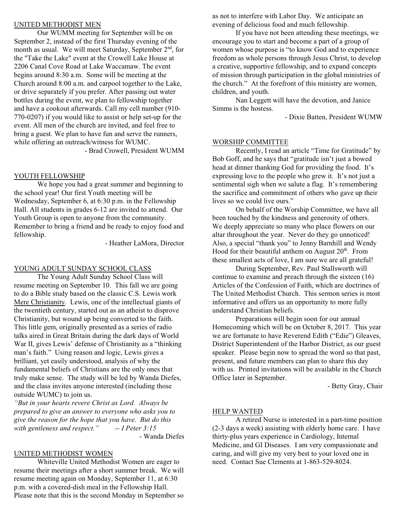## UNITED METHODIST MEN

Our WUMM meeting for September will be on September 2, instead of the first Thursday evening of the month as usual. We will meet Saturday, September 2<sup>nd</sup>, for the "Take the Lake" event at the Crowell Lake House at 2206 Canal Cove Road at Lake Waccamaw. The event begins around 8:30 a.m. Some will be meeting at the Church around 8:00 a.m. and carpool together to the Lake, or drive separately if you prefer. After passing out water bottles during the event, we plan to fellowship together and have a cookout afterwards. Call my cell number (910- 770-0207) if you would like to assist or help set-up for the event. All men of the church are invited, and feel free to bring a guest. We plan to have fun and serve the runners, while offering an outreach/witness for WUMC. - Brad Crowell, President WUMM

#### YOUTH FELLOWSHIP

We hope you had a great summer and beginning to the school year! Our first Youth meeting will be Wednesday, September 6, at 6:30 p.m. in the Fellowship Hall. All students in grades 6-12 are invited to attend. Our Youth Group is open to anyone from the community. Remember to bring a friend and be ready to enjoy food and fellowship.

- Heather LaMora, Director

## YOUNG ADULT SUNDAY SCHOOL CLASS

The Young Adult Sunday School Class will resume meeting on September 10. This fall we are going to do a Bible study based on the classic C.S. Lewis work Mere Christianity. Lewis, one of the intellectual giants of the twentieth century, started out as an atheist to disprove Christianity, but wound up being converted to the faith. This little gem, originally presented as a series of radio talks aired in Great Britain during the dark days of World War II, gives Lewis' defense of Christianity as a "thinking man's faith." Using reason and logic, Lewis gives a brilliant, yet easily understood, analysis of why the fundamental beliefs of Christians are the only ones that truly make sense. The study will be led by Wanda Diefes, and the class invites anyone interested (including those outside WUMC) to join us.

*"But in your hearts revere Christ as Lord. Always be prepared to give an answer to everyone who asks you to give the reason for the hope that you have. But do this with gentleness and respect." -- I Peter 3:15* 

- Wanda Diefes

## UNITED METHODIST WOMEN

Whiteville United Methodist Women are eager to resume their meetings after a short summer break. We will resume meeting again on Monday, September 11, at 6:30 p.m. with a covered-dish meal in the Fellowship Hall. Please note that this is the second Monday in September so as not to interfere with Labor Day. We anticipate an evening of delicious food and much fellowship.

If you have not been attending these meetings, we encourage you to start and become a part of a group of women whose purpose is "to know God and to experience freedom as whole persons through Jesus Christ, to develop a creative, supportive fellowship, and to expand concepts of mission through participation in the global ministries of the church." At the forefront of this ministry are women, children, and youth.

Nan Leggett will have the devotion, and Janice Simms is the hostess.

- Dixie Batten, President WUMW

## WORSHIP COMMITTEE

Recently, I read an article "Time for Gratitude" by Bob Goff, and he says that "gratitude isn't just a bowed head at dinner thanking God for providing the food. It's expressing love to the people who grew it. It's not just a sentimental sigh when we salute a flag. It's remembering the sacrifice and commitment of others who gave up their lives so we could live ours."

On behalf of the Worship Committee, we have all been touched by the kindness and generosity of others. We deeply appreciate so many who place flowers on our altar throughout the year. Never do they go unnoticed! Also, a special "thank you" to Jenny Barnhill and Wendy Hood for their beautiful anthem on August  $20<sup>th</sup>$ . From these smallest acts of love, I am sure we are all grateful!

During September, Rev. Paul Stallsworth will continue to examine and preach through the sixteen (16) Articles of the Confession of Faith, which are doctrines of The United Methodist Church. This sermon series is most informative and offers us an opportunity to more fully understand Christian beliefs.

Preparations will begin soon for our annual Homecoming which will be on October 8, 2017. This year we are fortunate to have Reverend Edith ("Edie") Gleaves, District Superintendent of the Harbor District, as our guest speaker. Please begin now to spread the word so that past, present, and future members can plan to share this day with us. Printed invitations will be available in the Church Office later in September.

- Betty Gray, Chair

## HELP WANTED

A retired Nurse is interested in a part-time position (2-3 days a week) assisting with elderly home care. I have thirty-plus years experience in Cardiology, Internal Medicine, and GI Diseases. I am very compassionate and caring, and will give my very best to your loved one in need. Contact Sue Clements at 1-863-529-8024.